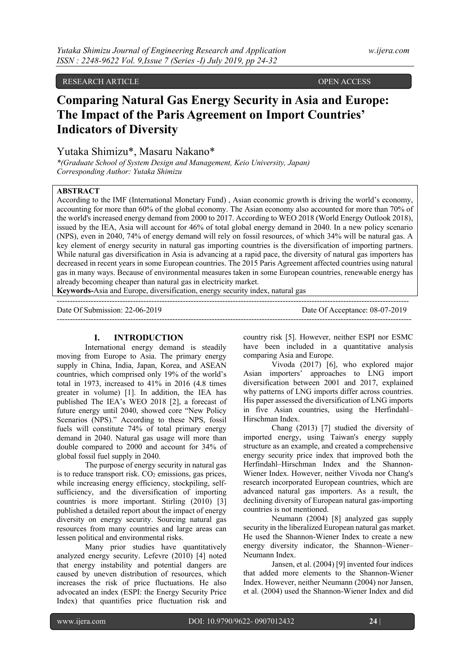RESEARCH ARTICLE **CONSERVATION CONSERVATION** OPEN ACCESS

# **Comparing Natural Gas Energy Security in Asia and Europe: The Impact of the Paris Agreement on Import Countries' Indicators of Diversity**

## Yutaka Shimizu\*, Masaru Nakano\*

*\*(Graduate School of System Design and Management, Keio University, Japan) Corresponding Author: Yutaka Shimizu*

## **ABSTRACT**

According to the IMF (International Monetary Fund) , Asian economic growth is driving the world's economy, accounting for more than 60% of the global economy. The Asian economy also accounted for more than 70% of the world's increased energy demand from 2000 to 2017. According to WEO 2018 (World Energy Outlook 2018), issued by the IEA, Asia will account for 46% of total global energy demand in 2040. In a new policy scenario (NPS), even in 2040, 74% of energy demand will rely on fossil resources, of which 34% will be natural gas. A key element of energy security in natural gas importing countries is the diversification of importing partners. While natural gas diversification in Asia is advancing at a rapid pace, the diversity of natural gas importers has decreased in recent years in some European countries. The 2015 Paris Agreement affected countries using natural gas in many ways. Because of environmental measures taken in some European countries, renewable energy has already becoming cheaper than natural gas in electricity market.

---------------------------------------------------------------------------------------------------------------------------------------

**Keywords-**Asia and Europe, diversification, energy security index, natural gas

 $-1-\frac{1}{2}$ 

Date Of Submission: 22-06-2019 Date Of Acceptance: 08-07-2019

## **I. INTRODUCTION**

International energy demand is steadily moving from Europe to Asia. The primary energy supply in China, India, Japan, Korea, and ASEAN countries, which comprised only 19% of the world's total in 1973, increased to 41% in 2016 (4.8 times greater in volume) [1]. In addition, the IEA has published The IEA's WEO 2018 [2], a forecast of future energy until 2040, showed core "New Policy Scenarios (NPS)." According to these NPS, fossil fuels will constitute 74% of total primary energy demand in 2040. Natural gas usage will more than double compared to 2000 and account for 34% of global fossil fuel supply in 2040.

The purpose of energy security in natural gas is to reduce transport risk.  $CO<sub>2</sub>$  emissions, gas prices, while increasing energy efficiency, stockpiling, selfsufficiency, and the diversification of importing countries is more important. Stirling (2010) [3] published a detailed report about the impact of energy diversity on energy security. Sourcing natural gas resources from many countries and large areas can lessen political and environmental risks.

Many prior studies have quantitatively analyzed energy security. Lefevre (2010) [4] noted that energy instability and potential dangers are caused by uneven distribution of resources, which increases the risk of price fluctuations. He also advocated an index (ESPI: the Energy Security Price Index) that quantifies price fluctuation risk and

country risk [5]. However, neither ESPI nor ESMC have been included in a quantitative analysis comparing Asia and Europe.

Vivoda (2017) [6], who explored major Asian importers' approaches to LNG import diversification between 2001 and 2017, explained why patterns of LNG imports differ across countries. His paper assessed the diversification of LNG imports in five Asian countries, using the Herfindahl– Hirschman Index.

Chang (2013) [7] studied the diversity of imported energy, using Taiwan's energy supply structure as an example, and created a comprehensive energy security price index that improved both the Herfindahl–Hirschman Index and the Shannon-Wiener Index. However, neither Vivoda nor Chang's research incorporated European countries, which are advanced natural gas importers. As a result, the declining diversity of European natural gas-importing countries is not mentioned.

Neumann (2004) [8] analyzed gas supply security in the liberalized European natural gas market. He used the Shannon-Wiener Index to create a new energy diversity indicator, the Shannon–Wiener– Neumann Index.

Jansen, et al. (2004) [9] invented four indices that added more elements to the Shannon-Wiener Index. However, neither Neumann (2004) nor Jansen, et al. (2004) used the Shannon-Wiener Index and did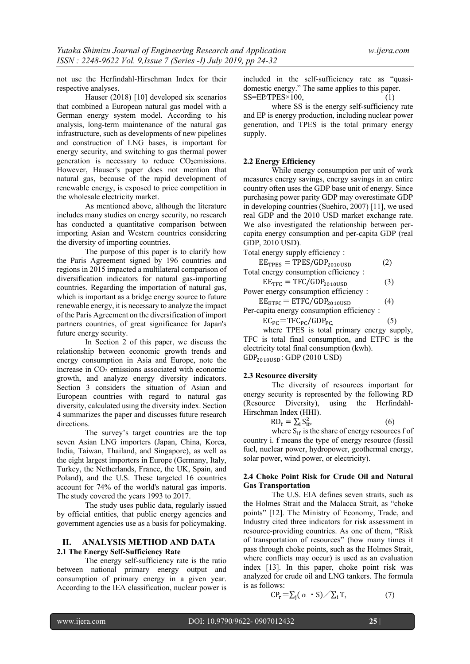not use the Herfindahl-Hirschman Index for their respective analyses.

Hauser (2018) [10] developed six scenarios that combined a European natural gas model with a German energy system model. According to his analysis, long-term maintenance of the natural gas infrastructure, such as developments of new pipelines and construction of LNG bases, is important for energy security, and switching to gas thermal power generation is necessary to reduce CO<sub>2</sub>emissions. However, Hauser's paper does not mention that natural gas, because of the rapid development of renewable energy, is exposed to price competition in the wholesale electricity market.

As mentioned above, although the literature includes many studies on energy security, no research has conducted a quantitative comparison between importing Asian and Western countries considering the diversity of importing countries.

The purpose of this paper is to clarify how the Paris Agreement signed by 196 countries and regions in 2015 impacted a multilateral comparison of diversification indicators for natural gas-importing countries. Regarding the importation of natural gas, which is important as a bridge energy source to future renewable energy, it is necessary to analyze the impact of the Paris Agreement on the diversification of import partners countries, of great significance for Japan's future energy security.

In Section 2 of this paper, we discuss the relationship between economic growth trends and energy consumption in Asia and Europe, note the increase in  $CO<sub>2</sub>$  emissions associated with economic growth, and analyze energy diversity indicators. Section 3 considers the situation of Asian and European countries with regard to natural gas diversity, calculated using the diversity index. Section 4 summarizes the paper and discusses future research directions.

The survey's target countries are the top seven Asian LNG importers (Japan, China, Korea, India, Taiwan, Thailand, and Singapore), as well as the eight largest importers in Europe (Germany, Italy, Turkey, the Netherlands, France, the UK, Spain, and Poland), and the U.S. These targeted 16 countries account for 74% of the world's natural gas imports. The study covered the years 1993 to 2017.

The study uses public data, regularly issued by official entities, that public energy agencies and government agencies use as a basis for policymaking.

## **II. ANALYSIS METHOD AND DATA 2.1 The Energy Self-Sufficiency Rate**

The energy self-sufficiency rate is the ratio between national primary energy output and consumption of primary energy in a given year. According to the IEA classification, nuclear power is

included in the self-sufficiency rate as "quasidomestic energy." The same applies to this paper.  $SS=EP/TPES \times 100$ ,

where SS is the energy self-sufficiency rate and EP is energy production, including nuclear power generation, and TPES is the total primary energy supply.

#### **2.2 Energy Efficiency**

While energy consumption per unit of work measures energy savings, energy savings in an entire country often uses the GDP base unit of energy. Since purchasing power parity GDP may overestimate GDP in developing countries (Suehiro, 2007) [11], we used real GDP and the 2010 USD market exchange rate. We also investigated the relationship between percapita energy consumption and per-capita GDP (real GDP, 2010 USD).

Total energy supply efficiency:

 $EE<sub>TPES</sub> = TPES/GDP<sub>2010USD</sub>$  (2) Total energy consumption efficiency:

$$
EE_{\text{TFC}} = \text{TFC/GDP}_{2010\text{USD}} \tag{3}
$$

Power energy consumption efficiency:  $EE<sub>ETFC</sub> = ETFC/GDP<sub>2010USD</sub>$  (4)

Per-capita energy consumption efficiency:

$$
EC_{PC} = TFC_{PC}/GDP_{PC,}
$$
 (5)

where TPES is total primary energy supply, TFC is total final consumption, and ETFC is the electricity total final consumption (kwh).  $GDP<sub>2010USD</sub>: GDP (2010 USD)$ 

#### **2.3 Resource diversity**

The diversity of resources important for energy security is represented by the following RD (Resource Diversity), using the Herfindahl-Hirschman Index (HHI).

$$
RD_f = \sum_{i} S_{if}^2,
$$
 (6)

where  $S_{if}$  is the share of energy resources f of country i. f means the type of energy resource (fossil fuel, nuclear power, hydropower, geothermal energy, solar power, wind power, or electricity).

## **2.4 Choke Point Risk for Crude Oil and Natural Gas Transportation**

The U.S. EIA defines seven straits, such as the Holmes Strait and the Malacca Strait, as "choke points" [12]. The Ministry of Economy, Trade, and Industry cited three indicators for risk assessment in resource-providing countries. As one of them, "Risk of transportation of resources" (how many times it pass through choke points, such as the Holmes Strait, where conflicts may occur) is used as an evaluation index [13]. In this paper, choke point risk was analyzed for crude oil and LNG tankers. The formula is as follows:

$$
CP_{r} = \sum_{j} (\alpha \cdot S) / \sum_{i} T,
$$
 (7)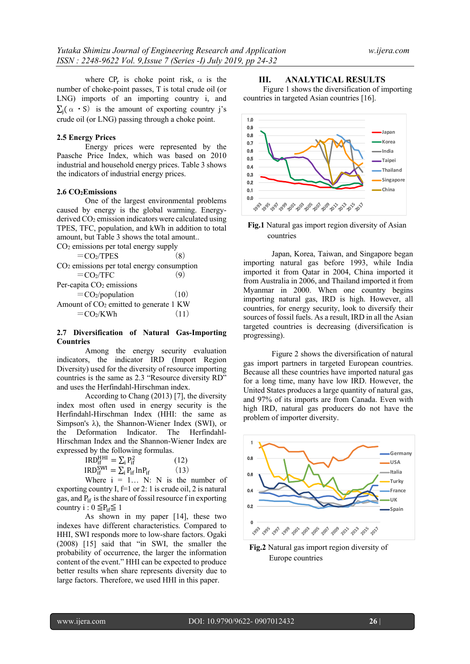where  $\text{CP}_r$  is choke point risk,  $\alpha$  is the number of choke-point passes, T is total crude oil (or LNG) imports of an importing country i, and  $\sum_i (\alpha \cdot S)$  is the amount of exporting country j's crude oil (or LNG) passing through a choke point.

#### **2.5 Energy Prices**

Energy prices were represented by the Paasche Price Index, which was based on 2010 industrial and household energy prices. Table 3 shows the indicators of industrial energy prices.

#### **2.6 CO2Emissions**

One of the largest environmental problems caused by energy is the global warming. Energyderived CO2 emission indicators were calculated using TPES, TFC, population, and kWh in addition to total amount, but Table 3 shows the total amount..  $CO<sub>2</sub>$  emissions per total energy supply

| $=$ CO2/TPES                                       | (8)  |
|----------------------------------------------------|------|
| $CO2$ emissions per total energy consumption       |      |
| $=$ CO2/TFC                                        |      |
| Per-capita CO <sub>2</sub> emissions               |      |
| $=$ CO2/population                                 | (10) |
| Amount of CO <sub>2</sub> emitted to generate 1 KW |      |
| $=$ CO <sub>2</sub> /KWh                           | (11) |
|                                                    |      |

## **2.7 Diversification of Natural Gas-Importing Countries**

Among the energy security evaluation indicators, the indicator IRD (Import Region Diversity) used for the diversity of resource importing countries is the same as 2.3 "Resource diversity RD" and uses the Herfindahl-Hirschman index.

According to Chang (2013) [7], the diversity index most often used in energy security is the Herfindahl-Hirschman Index (HHI: the same as Simpson's λ), the Shannon-Wiener Index (SWI), or the Deformation Indicator. The Herfindahl-Hirschman Index and the Shannon-Wiener Index are expressed by the following formulas.

| $IRD_{if}^{HHI} = \sum_i P_{if}^2$         | (12) |
|--------------------------------------------|------|
| $IRD_{if}^{SWI} = \sum_i P_{if} ln P_{if}$ | (13) |
| $W1$ and $V2 = 1$ N. N is the m            |      |

Where  $i = 1...$  N: N is the number of exporting country I,  $f=1$  or 2: 1 is crude oil, 2 is natural gas, and  $P_{if}$  is the share of fossil resource f in exporting country i :  $0 \leq P_{if} \leq 1$ 

As shown in my paper [14], these two indexes have different characteristics. Compared to HHI, SWI responds more to low-share factors. Ogaki (2008) [15] said that "in SWI, the smaller the probability of occurrence, the larger the information content of the event." HHI can be expected to produce better results when share represents diversity due to large factors. Therefore, we used HHI in this paper.

## **III. ANALYTICAL RESULTS**

Figure 1 shows the diversification of importing countries in targeted Asian countries [16].





Japan, Korea, Taiwan, and Singapore began importing natural gas before 1993, while India imported it from Qatar in 2004, China imported it from Australia in 2006, and Thailand imported it from Myanmar in 2000. When one country begins importing natural gas, IRD is high. However, all countries, for energy security, look to diversify their sources of fossil fuels. As a result, IRD in all the Asian targeted countries is decreasing (diversification is progressing).

Figure 2 shows the diversification of natural gas import partners in targeted European countries. Because all these countries have imported natural gas for a long time, many have low IRD. However, the United States produces a large quantity of natural gas, and 97% of its imports are from Canada. Even with high IRD, natural gas producers do not have the problem of importer diversity.



**Fig.2** Natural gas import region diversity of Europe countries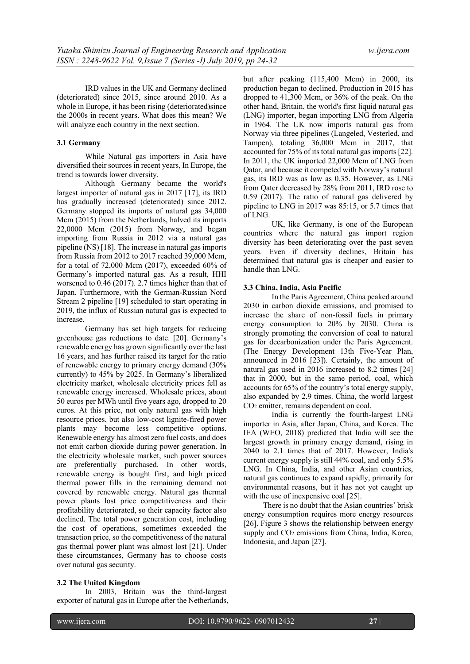IRD values in the UK and Germany declined (deteriorated) since 2015, since around 2010. As a whole in Europe, it has been rising (deteriorated)since the 2000s in recent years. What does this mean? We will analyze each country in the next section.

#### **3.1 Germany**

While Natural gas importers in Asia have diversified their sources in recent years, In Europe, the trend is towards lower diversity.

Although Germany became the world's largest importer of natural gas in 2017 [17], its IRD has gradually increased (deteriorated) since 2012. Germany stopped its imports of natural gas 34,000 Mcm (2015) from the Netherlands, halved its imports 22,0000 Mcm (2015) from Norway, and began importing from Russia in 2012 via a natural gas pipeline (NS) [18]. The increase in natural gas imports from Russia from 2012 to 2017 reached 39,000 Mcm, for a total of 72,000 Mcm (2017), exceeded 60% of Germany's imported natural gas. As a result, HHI worsened to 0.46 (2017). 2.7 times higher than that of Japan. Furthermore, with the German-Russian Nord Stream 2 pipeline [19] scheduled to start operating in 2019, the influx of Russian natural gas is expected to increase.

Germany has set high targets for reducing greenhouse gas reductions to date. [20]. Germany's renewable energy has grown significantly over the last 16 years, and has further raised its target for the ratio of renewable energy to primary energy demand (30% currently) to 45% by 2025. In Germany's liberalized electricity market, wholesale electricity prices fell as renewable energy increased. Wholesale prices, about 50 euros per MWh until five years ago, dropped to 20 euros. At this price, not only natural gas with high resource prices, but also low-cost lignite-fired power plants may become less competitive options. Renewable energy has almost zero fuel costs, and does not emit carbon dioxide during power generation. In the electricity wholesale market, such power sources are preferentially purchased. In other words, renewable energy is bought first, and high priced thermal power fills in the remaining demand not covered by renewable energy. Natural gas thermal power plants lost price competitiveness and their profitability deteriorated, so their capacity factor also declined. The total power generation cost, including the cost of operations, sometimes exceeded the transaction price, so the competitiveness of the natural gas thermal power plant was almost lost [21]. Under these circumstances, Germany has to choose costs over natural gas security.

#### **3.2 The United Kingdom**

In 2003, Britain was the third-largest exporter of natural gas in Europe after the Netherlands, but after peaking (115,400 Mcm) in 2000, its production began to declined. Production in 2015 has dropped to 41,300 Mcm, or 36% of the peak. On the other hand, Britain, the world's first liquid natural gas (LNG) importer, began importing LNG from Algeria in 1964. The UK now imports natural gas from Norway via three pipelines (Langeled, Vesterled, and Tampen), totaling 36,000 Mcm in 2017, that accounted for 75% of its total natural gas imports [22]. In 2011, the UK imported 22,000 Mcm of LNG from Qatar, and because it competed with Norway's natural gas, its IRD was as low as 0.35. However, as LNG from Qater decreased by 28% from 2011, IRD rose to 0.59 (2017). The ratio of natural gas delivered by pipeline to LNG in 2017 was 85:15, or 5.7 times that of LNG.

UK, like Germany, is one of the European countries where the natural gas import region diversity has been deteriorating over the past seven years. Even if diversity declines, Britain has determined that natural gas is cheaper and easier to handle than LNG.

#### **3.3 China, India, Asia Pacific**

In the Paris Agreement, China peaked around 2030 in carbon dioxide emissions, and promised to increase the share of non-fossil fuels in primary energy consumption to 20% by 2030. China is strongly promoting the conversion of coal to natural gas for decarbonization under the Paris Agreement. (The Energy Development 13th Five-Year Plan, announced in 2016 [23]). Certainly, the amount of natural gas used in 2016 increased to 8.2 times [24] that in 2000, but in the same period, coal, which accounts for 65% of the country's total energy supply, also expanded by 2.9 times. China, the world largest CO2 emitter, remains dependent on coal.

India is currently the fourth-largest LNG importer in Asia, after Japan, China, and Korea. The IEA (WEO, 2018) predicted that India will see the largest growth in primary energy demand, rising in 2040 to 2.1 times that of 2017. However, India's current energy supply is still 44% coal, and only 5.5% LNG. In China, India, and other Asian countries, natural gas continues to expand rapidly, primarily for environmental reasons, but it has not yet caught up with the use of inexpensive coal [25].

There is no doubt that the Asian countries' brisk energy consumption requires more energy resources [26]. Figure 3 shows the relationship between energy supply and  $CO<sub>2</sub>$  emissions from China, India, Korea, Indonesia, and Japan [27].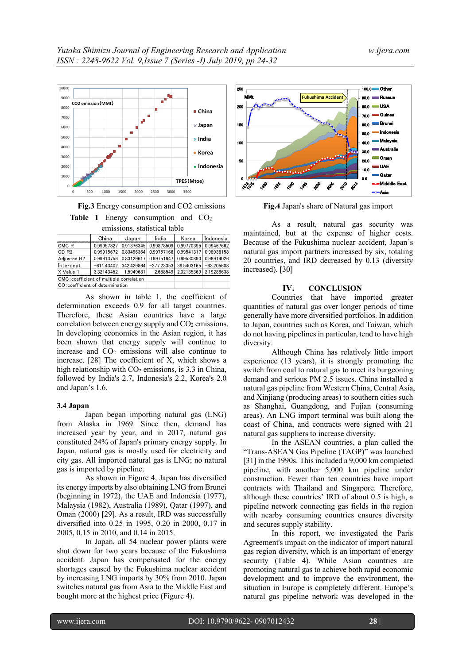

**Fig.3** Energy consumption and CO2 emissions Table 1 Energy consumption and CO<sub>2</sub> emissions, statistical table

| chiissions, statistical taolc            |              |            |                                  |            |                                |  |  |  |  |  |  |  |  |
|------------------------------------------|--------------|------------|----------------------------------|------------|--------------------------------|--|--|--|--|--|--|--|--|
| China                                    |              | Japan      | India                            | Korea      | Indonesia                      |  |  |  |  |  |  |  |  |
| CMC <sub>R</sub>                         | 0.99957827   |            | 0.91376345 0.99878509 0.99770395 |            | 0.99467662                     |  |  |  |  |  |  |  |  |
| CD <sub>R2</sub>                         | 0.99915672   |            | 0.83496364 0.99757166            | 0.99541317 | 0.98938158                     |  |  |  |  |  |  |  |  |
| Adiusted R2                              | 0.99913756   | 0.83129617 | 0.99751647                       | 0.99530893 | 0.98914026                     |  |  |  |  |  |  |  |  |
| Intercept                                | $-611.43402$ | 342.429864 | $-277.23353$                     | 39.5403165 | $-63.205608$                   |  |  |  |  |  |  |  |  |
| X Value 1                                | 3.32143452   | 1.5949681  |                                  |            | 2.688549 2.02135369 2.19288638 |  |  |  |  |  |  |  |  |
| CMC: coefficient of multiple correlation |              |            |                                  |            |                                |  |  |  |  |  |  |  |  |
| CO: coefficient of determination         |              |            |                                  |            |                                |  |  |  |  |  |  |  |  |

As shown in table 1, the coefficient of determination exceeds 0.9 for all target countries. Therefore, these Asian countries have a large correlation between energy supply and  $CO<sub>2</sub>$  emissions. In developing economies in the Asian region, it has been shown that energy supply will continue to increase and  $CO<sub>2</sub>$  emissions will also continue to increase. [28] The coefficient of X, which shows a high relationship with  $CO<sub>2</sub>$  emissions, is 3.3 in China, followed by India's 2.7, Indonesia's 2.2, Korea's 2.0 and Japan's 1.6.

#### **3.4 Japan**

Japan began importing natural gas (LNG) from Alaska in 1969. Since then, demand has increased year by year, and in 2017, natural gas constituted 24% of Japan's primary energy supply. In Japan, natural gas is mostly used for electricity and city gas. All imported natural gas is LNG; no natural gas is imported by pipeline.

As shown in Figure 4, Japan has diversified its energy imports by also obtaining LNG from Brunei (beginning in 1972), the UAE and Indonesia (1977), Malaysia (1982), Australia (1989), Qatar (1997), and Oman (2000) [29]. As a result, IRD was successfully diversified into 0.25 in 1995, 0.20 in 2000, 0.17 in 2005, 0.15 in 2010, and 0.14 in 2015.

In Japan, all 54 nuclear power plants were shut down for two years because of the Fukushima accident. Japan has compensated for the energy shortages caused by the Fukushima nuclear accident by increasing LNG imports by 30% from 2010. Japan switches natural gas from Asia to the Middle East and bought more at the highest price (Figure 4).



**Fig.4** Japan's share of Natural gas import

As a result, natural gas security was maintained, but at the expense of higher costs. Because of the Fukushima nuclear accident, Japan's natural gas import partners increased by six, totaling 20 countries, and IRD decreased by 0.13 (diversity increased). [30]

#### **IV. CONCLUSION**

Countries that have imported greater quantities of natural gas over longer periods of time generally have more diversified portfolios. In addition to Japan, countries such as Korea, and Taiwan, which do not having pipelines in particular, tend to have high diversity.

Although China has relatively little import experience (13 years), it is strongly promoting the switch from coal to natural gas to meet its burgeoning demand and serious PM 2.5 issues. China installed a natural gas pipeline from Western China, Central Asia, and Xinjiang (producing areas) to southern cities such as Shanghai, Guangdong, and Fujian (consuming areas). An LNG import terminal was built along the coast of China, and contracts were signed with 21 natural gas suppliers to increase diversity.

In the ASEAN countries, a plan called the "Trans-ASEAN Gas Pipeline (TAGP)" was launched [31] in the 1990s. This included a 9,000 km completed pipeline, with another 5,000 km pipeline under construction. Fewer than ten countries have import contracts with Thailand and Singapore. Therefore, although these countries' IRD of about 0.5 is high, a pipeline network connecting gas fields in the region with nearby consuming countries ensures diversity and secures supply stability.

In this report, we investigated the Paris Agreement's impact on the indicator of import natural gas region diversity, which is an important of energy security (Table 4). While Asian countries are promoting natural gas to achieve both rapid economic development and to improve the environment, the situation in Europe is completely different. Europe's natural gas pipeline network was developed in the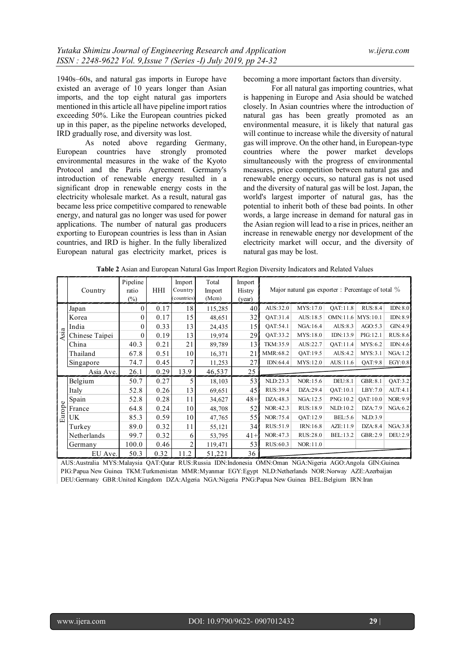1940s–60s, and natural gas imports in Europe have existed an average of 10 years longer than Asian imports, and the top eight natural gas importers mentioned in this article all have pipeline import ratios exceeding 50%. Like the European countries picked up in this paper, as the pipeline networks developed, IRD gradually rose, and diversity was lost.

As noted above regarding Germany, European countries have strongly promoted environmental measures in the wake of the Kyoto Protocol and the Paris Agreement. Germany's introduction of renewable energy resulted in a significant drop in renewable energy costs in the electricity wholesale market. As a result, natural gas became less price competitive compared to renewable energy, and natural gas no longer was used for power applications. The number of natural gas producers exporting to European countries is less than in Asian countries, and IRD is higher. In the fully liberalized European natural gas electricity market, prices is

becoming a more important factors than diversity.

For all natural gas importing countries, what is happening in Europe and Asia should be watched closely. In Asian countries where the introduction of natural gas has been greatly promoted as an environmental measure, it is likely that natural gas will continue to increase while the diversity of natural gas will improve. On the other hand, in European-type countries where the power market develops simultaneously with the progress of environmental measures, price competition between natural gas and renewable energy occurs, so natural gas is not used and the diversity of natural gas will be lost. Japan, the world's largest importer of natural gas, has the potential to inherit both of these bad points. In other words, a large increase in demand for natural gas in the Asian region will lead to a rise in prices, neither an increase in renewable energy nor development of the electricity market will occur, and the diversity of natural gas may be lost.

|         | Country        | Pipeline<br>ratio<br>(%) | HHI  | Import<br>Country<br>countries) | Total<br>Import<br>(Mcm) | Import<br>Histry<br>(year) |                 |           | Major natural gas exporter : Percentage of total % |                |          |  |
|---------|----------------|--------------------------|------|---------------------------------|--------------------------|----------------------------|-----------------|-----------|----------------------------------------------------|----------------|----------|--|
|         | Japan          | 0                        | 0.17 | 18                              | 115,285                  | 40                         | AUS:32.0        | MYS:17.0  | <b>OAT:11.8</b>                                    | RUS:8.4        | IDN:8.0  |  |
|         | Korea          | 0                        | 0.17 | 15                              | 48,651                   | 32                         | OAT:31.4        | AUS: 18.5 | OMN:11.6 MYS:10.1                                  |                | IDN:8.9  |  |
|         | India          |                          | 0.33 | 13                              | 24,435                   | 15                         | <b>OAT:54.1</b> | NGA: 16.4 | AUS:8.3                                            | AGO:5.3        | GIN:4.9  |  |
| Asia    | Chinese Taipei |                          | 0.19 | 13                              | 19,974                   | 29                         | <b>OAT:33.2</b> | MYS:18.0  | IDN:13.9                                           | PIG:12.1       | RUS:8.6  |  |
|         | China          | 40.3                     | 0.21 | 21                              | 89,789                   | 13                         | TKM:35.9        | AUS:22.7  | <b>OAT:11.4</b>                                    | MYS:6.2        | IDN:4.6  |  |
|         | Thailand       | 67.8                     | 0.51 | 10                              | 16,371                   | 21                         | MMR:68.2        | QAT:19.5  | AUS:4.2                                            | MYS:3.1        | NGA:1.2  |  |
|         | Singapore      | 74.7                     | 0.45 | 7                               | 11,253                   | 27                         | IDN:64.4        | MYS:12.0  | AUS:11.6                                           | <b>OAT:9.8</b> | EGY:0.8  |  |
|         | Asia Ave.      | 26.1                     | 0.29 | 13.9                            | 46,537                   | 25                         |                 |           |                                                    |                |          |  |
|         | Belgium        | 50.7                     | 0.27 | 5                               | 18,103                   | 53                         | NLD:23.3        | NOR:15.6  | DEU: 8.1                                           | GBR:8.1        | QAT:3.2  |  |
|         | Italy          | 52.8                     | 0.26 | 13                              | 69,651                   | 45                         | RUS:39.4        | DZA:29.4  | <b>QAT:10.1</b>                                    | LBY:7.0        | AUT:4.1  |  |
| $\circ$ | Spain          | 52.8                     | 0.28 | 11                              | 34,627                   | $48 +$                     | DZA:48.3        | NGA: 12.5 | PNG:10.2                                           | QAT:10.0       | NOR: 9.9 |  |
| Europe  | France         | 64.8                     | 0.24 | 10                              | 48,708                   | 52                         | NOR:42.3        | RUS: 18.9 | NLD:10.2                                           | DZA:7.9        | NGA:6.2  |  |
|         | UK             | 85.3                     | 0.59 | 10                              | 47,765                   | 55                         | NOR: 75.4       | QAT:12.9  | <b>BEL:5.6</b>                                     | NLD:3.9        |          |  |
|         | Turkey         | 89.0                     | 0.32 | 11                              | 55,121                   | 34 <sup>1</sup>            | RUS: 51.9       | IRN:16.8  | AZE: 11.9                                          | DZA:8.4        | NGA:3.8  |  |
|         | Netherlands    | 99.7                     | 0.32 | 6                               | 53,795                   | $41 +$                     | NOR:47.3        | RUS:28.0  | BEL:13.2                                           | GBR:2.9        | DEU:2.9  |  |
|         | Germany        | 100.0                    | 0.46 | 2                               | 119,471                  | 53                         | RUS:60.3        | NOR:11.0  |                                                    |                |          |  |
|         | EU Ave.        | 50.3                     | 0.32 | 11.2                            | 51,221                   | 36                         |                 |           |                                                    |                |          |  |

**Table 2** Asian and European Natural Gas Import Region Diversity Indicators and Related Values

 AUS:Australia MYS:Malaysia QAT:Qatar RUS:Russia IDN:Indonesia OMN:Oman NGA:Nigeria AGO:Angola GIN:Guinea PIG:Papua New Guinea TKM:Turkmenistan MMR:Myanmar EGY:Egypt NLD:Netherlands NOR:Norway AZE:Azerbaijan DEU:Germany GBR:United Kingdom DZA:Algeria NGA:Nigeria PNG:Papua New Guinea BEL:Belgium IRN:Iran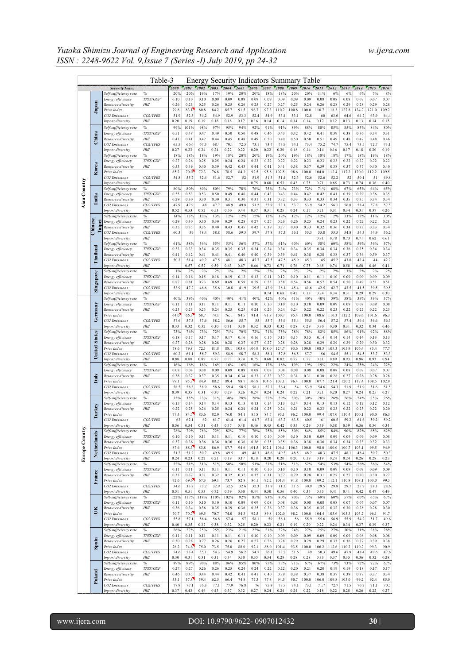|                     |                          |                                               | Table-3               |              |              |              | Energy Security Indicators Summary |              |               |               |               |                   |               | Table            |               |               |               |               |                  |                    |
|---------------------|--------------------------|-----------------------------------------------|-----------------------|--------------|--------------|--------------|------------------------------------|--------------|---------------|---------------|---------------|-------------------|---------------|------------------|---------------|---------------|---------------|---------------|------------------|--------------------|
|                     |                          | <b>Security Index</b>                         |                       | 2000<br>20%  | 2001<br>20%  | 2002<br>19%  | 2003<br>17%                        | 2004<br>19%  | 2005<br>20%   | 2006<br>20%   | 2007<br>18%   | 2008<br>18%       | 2009<br>20%   | 2010<br>20%      | 2011<br>11%   | 2012<br>6%    | 2013<br>6%    | 2014          | 2015<br>7%       | 2016<br>8%         |
|                     |                          | Self-sufficiency rate<br>Energy efficiency    | TPES/GDP              | 0.10         | 0.10         | 0.10         | 0.09                               | 0.09         | 0.09          | 0.09          | 0.09          | 0.09              | 0.09          | 0.09             | 0.08          | 0.08          | 0.08          | 6%<br>0.07    | 0.07             | 0.07               |
|                     | Japan                    | Resource diversity                            | HНI                   | 0.26         | 0.25         | 0.25         | 0.26                               | 0.25         | 0.26          | 0.25          | 0.27          | 0.27              | 0.25          | 0.24             | 0.26          | 0.28          | 0.29          | 0.28          | 0.29             | 0.28               |
|                     |                          | Price Index<br><b>CO2</b> Emissions           | CO2/TPES              | 79.8<br>51.9 | 83.1<br>52.3 | 80.8<br>54.2 | 84.2<br>54.9                       | 85.7<br>52.9 | 91.5<br>53.3  | 96.7<br>52.4  | 97.3<br>54.9  | 110.2<br>53.4     | 100.8<br>53.1 | 100.0<br>52.8    | 110.7<br>60   | 118.3<br>63.6 | 127.8<br>64.6 | 134.2<br>64.7 | 121.0<br>63.9    | 109.2<br>64.4      |
|                     |                          | Import diversity                              | HНI                   | 0.20         | 0.19         | 0.19         | 0.18                               | 0.18         | 0.17          | 0.16          | 0.14          | 0.14              | 0.14          | 0.14             | 0.12          | 0.12          | 0.13          | 0.13          | 0.14             | 0.15               |
|                     |                          | Self-sufficiency rate                         | ℅                     | 99%          | 101%         | 98%          | 97%                                | 95%          | 94%           | 92%           | 91%           | 91%               | 89%           | 88%              | 88%           | 85%           | 85%           | 85%           | 84%              | 80%                |
|                     | China                    | Energy efficiency<br>Resource diversity       | TPES/GDP<br>HНI       | 0.51<br>0.41 | 0.48<br>0.41 | 0.47<br>0.42 | 0.49<br>0.44                       | 0.50<br>0.45 | 0.50<br>0.48  | 0.48<br>0.49  | 0.46<br>0.50  | 0.43<br>0.49      | 0.42<br>0.50  | 0.42<br>0.50     | 0.41<br>0.51  | 0.39<br>0.49  | 0.38<br>0.48  | 0.36<br>0.47  | 0.34<br>0.48     | 0.31<br>0.46       |
|                     |                          | CO <sub>2</sub> Emissions                     | CO2/TPES              | 65.5         | 66.6         | 67.3         | 68.4                               | 70.1         | 72.5          | 73.1          | 73.7          | 73.9              | 74.1          | 73.4             | 75.2          | 74.7          | 75.4          | 73.5          | 72.7             | 73.1               |
|                     |                          | Import diversity                              | HНI                   | 0.27         | 0.23         | 0.24         | 0.24                               | 0.22         | 0.22          | 0.20          | 0.22          | 0.20              | 0.18          | 0.14             | 0.14          | 0.16          | 0.17          | 0.18          | 0.20             | 0.19               |
|                     |                          | Self-sufficiency rate<br>Energy efficiency    | ℅<br>TPES/GDP         | 18%<br>0.27  | 18%<br>0.26  | 18%<br>0.25  | 19%<br>0.25                        | 18%<br>0.24  | 20%<br>0.24   | 20%<br>0.23   | 19%<br>0.22   | 20%<br>0.22       | 19%<br>0.22   | 18%<br>0.23      | 18%<br>0.23   | 18%<br>0.23   | 17%<br>0.22   | 18%<br>0.22   | 19%<br>0.22      | 18%<br>0.22        |
|                     | Korea                    | Resource diversity                            | HНI                   | 0.53         | 0.49         | 0.40         | 0.39                               | 0.42         | 0.43          | 0.44          | 0.41          | 0.41              | 0.38          | 0.37             | 0.39          | 0.38          | 0.37          | 0.37          | 0.40             | 0.40               |
|                     |                          | Price Index                                   |                       | 65.2         | 70.0         | 72.3         | 76.8                               | 78.5         | 84.3          | 92.5          | 95.8          | 102.5             | 98.6          | 100.0            | 104.0         | 112.4         | 117.2         | 120.0         | 112.2            | 109.5              |
|                     |                          | CO <sub>2</sub> Emissions<br>Import diversity | CO2/TPES<br>HНI       | 54.8         | 55.7         | 52.4         | 51.6                               | 52.7         | 52            | 51.9<br>0.75  | 51.3<br>0.68  | 51.4<br>0.53      | 52.3<br>0.43  | 52.6<br>0.75     | 52.6<br>0.71  | 52.2<br>0.65  | 52<br>0.73    | 50.1<br>0.74  | 51<br>0.36       | 49.8<br>0.40       |
| <b>Aian Country</b> |                          | Self-sufficiency rate                         | %                     | 80%          | 80%          | 80%          | 80%                                | 79%          | 78%           | 76%           | 75%           | 74%               | 73%           | 72%              | 71%           | 68%           | 67%           | 65%           | 64%              | 65%                |
|                     | India                    | Energy efficiency                             | TPES/GDP              | 0.55         | 0.53         | 0.53         | 0.50                               | 0.49         | 0.46          | 0.44          | 0.43          | 0.43              | 0.44          | 0.42             | 0.42          | 0.41          | 0.39          | 0.39          | 0.36             | 0.35               |
|                     |                          | Resource diversity<br>CO2 Emissions           | HНI<br>CO2/TPES       | 0.29<br>47.9 | 0.30<br>47.9 | 0.30<br>48   | 0.30<br>47.7                       | 0.31<br>48.9 | 0.30<br>49.8  | 0.31<br>51.2  | 0.31<br>52.9  | 0.32<br>53.1      | 0.33<br>53.7  | 0.33<br>53.9     | 0.33<br>54.2  | 0.34<br>56.1  | 0.35<br>56.8  | 0.35<br>58.4  | 0.34<br>57.8     | 0.34<br>57.5       |
|                     |                          | Import diversity                              | HНI                   | 0.52         | 0.53         | 0.52         | 0.53                               | 0.50         | 0.44          | 0.37          | 0.31          | 0.25              | 0.24          | 0.17             | 0.21          | 0.31          | 0.34          | 0.31          | 0.37             | 0.26               |
|                     |                          | Self-sufficiency rate                         | ℅<br>TPES/GDP         | 14%<br>0.29  | 13%          | 13%<br>0.30  | 13%<br>0.30                        | 12%          | 12%<br>0.28   | 12%<br>0.27   | 12%<br>0.27   | 12%               | 12%<br>0.26   | 12%<br>0.25      | 12%<br>0.24   | 12%<br>0.23   | 13%<br>0.22   | 12%<br>0.22   | 11%              | 10%<br>0.21        |
|                     | <b>Chines</b><br>ie<br>≘ | Energy efficiency<br>Resource diversity       | HНI                   | 0.35         | 0.30<br>0.35 | 0.35         | 0.40                               | 0.29<br>0.43 | 0.45          | 0.42          | 0.39          | 0.26<br>0.37      | 0.40          | 0.33             | 0.32          | 0.36          | 0.34          | 0.33          | 0.22<br>0.33     | 0.34               |
|                     |                          | <b>CO2</b> Emissions                          | CO2/TPES              | 60.3         | 59           | 58.4         | 58.8                               | 58.6         | 59.3          | 59.7          | 57.8          | 57.3              | 56.1          | 55.3             | 55.8          | 55.5          | 54.8          | 54.3          | 54.9             | 56.2               |
|                     |                          | Import diversity                              | HНI                   | 61%          | 58%          | 56%          | 55%                                | 53%          | 56%           | 57%           | 57%           | 61%               | 60%           | 60%              | 0.81<br>58%   | 0.78<br>60%   | 0.73<br>58%   | 0.71<br>59%   | 0.62<br>56%      | 0.61<br>57%        |
|                     |                          | Self-sufficiency rate<br>Energy efficiency    | %<br>TPES/GDP         | 0.33         | 0.33         | 0.34         | 0.35                               | 0.35         | 0.35          | 0.34          | 0.34          | 0.34              | 0.34          | 0.35             | 0.34          | 0.34          | 0.36          | 0.35          | 0.34             | 0.34               |
|                     | hailand                  | Resource diversity                            | HНI                   | 0.41         | 0.42         | 0.41         | 0.41                               | 0.41         | 0.40          | 0.40          | 0.39          | 0.39              | 0.41          | 0.38             | 0.38          | 0.38          | 0.37          | 0.36          | 0.39             | 0.37               |
|                     |                          | CO <sub>2</sub> Emissions                     | CO2/TPES<br>HНI       | 50.3         | 51.4<br>0.57 | 49.2<br>0.57 | 47.5<br>0.59                       | 48.1<br>0.63 | 48.3<br>0.67  | 47.7<br>0.66  | 47.5<br>0.73  | 47.5<br>0.71      | 45.9<br>0.76  | 45.3<br>0.75     | 45<br>0.65    | 45.2<br>0.74  | 43.8<br>0.58  | 43.4<br>0.50  | 44<br>0.46       | 42.2<br>0.41       |
|                     |                          | Import diversity<br>Self-sufficiency rate     | %                     | 1%           | 2%           | 2%           | 2%                                 | $1\%$        | 2%            | 2%            | 2%            | 2%                | 2%            | 2%               | 2%            | 2%            | 3%            | 2%            | 2%               | 2%                 |
|                     | Singapore                | Energy efficiency                             | TPES/GDP              | 0.14         | 0.16         | 0.15         | 0.18                               | 0.19         | 0.13          | 0.13          | 0.11          | 0.12              | 0.10          | 0.11             | 0.11          | 0.10          | 0.09          | 0.09          | 0.09             | 0.09               |
|                     |                          | Resource diversity<br><b>CO2</b> Emissions    | HНI<br>CO2/TPES       | 0.87<br>53.9 | 0.81<br>47.2 | 0.73<br>46.6 | 0.69<br>35.6                       | 0.69<br>30.8 | 0.59<br>41.9  | 0.59<br>39.5  | 0.55<br>43.9  | 0.58<br>38.1      | 0.54<br>45.4  | 0.56<br>41.6     | 0.57<br>42.5  | 0.54<br>42.7  | 0.50<br>43.5  | 0.49<br>41.5  | 0.51<br>39.5     | 0.51<br>39.5       |
|                     |                          | Import diversity                              | HНI                   |              |              |              |                                    |              |               |               | 0.74          | 0.68              | 0.42          | 0.18             | 0.24          | 0.34          | 0.31          | 0.29          | 0.29             | 0.30               |
|                     |                          | Self-sufficiency rate                         | %                     | 40%          | 39%          | 40%          | 40%                                | 40%          | 41%           | 40%           | 42%           | 40%               | 41%           | 40%              | 40%           | 39%           | 38%           | 39%           | 39%              | 37%                |
|                     | Germany                  | Energy efficiency<br>Resource diversity       | TPES/GDP<br>HНI       | 0.11<br>0.23 | 0.11<br>0.23 | 0.11<br>0.23 | 0.11<br>0.24                       | 0.11<br>0.25 | 0.11<br>0.25  | 0.10<br>0.24  | 0.10<br>0.26  | 0.10<br>0.24      | 0.10<br>0.24  | 0.10<br>0.22     | 0.09<br>0.22  | 0.09<br>0.23  | 0.09<br>0.22  | 0.08<br>0.22  | 0.08<br>0.22     | 0.08<br>0.23       |
|                     |                          | Price Index                                   |                       | 64.0         | 66.3         | 68.7         | 74.1                               | 76.1         | 84.5          | 91.4          | 91.8          | 100.7             | 95.4          | 100.0            | 108.6         | 110.3         | 112.2         | 109.6         | 101.6            | 96.3               |
|                     |                          | CO <sub>2</sub> Emissions                     | CO2/TPES              | 57.6         | 57.3         | 57.6         | 58.2                               | 56.6         | 55.7          | 55            | 55.7          | 55.9              | 55.4          | 55.5             | 56.4          | 57.2          | 57.4          | 56.4          | 56.6             | 56.3               |
|                     |                          | Import diversity<br>Self-sufficiency rate     | HНI<br>℅              | 0.33<br>73%  | 0.32<br>76%  | 0.32<br>73%  | 0.30<br>72%                        | 0.31<br>71%  | 0.30<br>70%   | 0.32<br>72%   | 0.33<br>71%   | 0.32<br>75%       | 0.28<br>78%   | 0.29<br>78%      | 0.30<br>82%   | 0.30<br>85%   | 0.31<br>86%   | 0.32<br>91%   | 0.34<br>92%      | 0.46<br>88%        |
|                     | <b>States</b>            | Energy efficiency                             | TPES/GDP              | 0.18         | 0.17         | 0.17         | 0.17                               | 0.17         | 0.16          | 0.16          | 0.16          | 0.15              | 0.15          | 0.15             | 0.14          | 0.14          | 0.14          | 0.14          | 0.13             | 0.13               |
|                     |                          | Resource diversity                            | HНI                   | 0.27         | 0.28<br>79.8 | 0.28         | 0.28<br>81.8                       | 0.28         | 0.27          | 0.27          | 0.27          | 0.28              | 0.28<br>93.6  | 0.28             | 0.29          | 0.29          | 0.29          | 0.29          | 0.30             | 0.32<br>77.7       |
|                     | <b>Inited</b>            | Price Index<br>CO <sub>2</sub> Emissions      | CO2/TPES              | 78.6<br>60.2 | 61.1         | 72.1<br>58.7 | 59.3                               | 88.1<br>58.9 | 103.6<br>58.7 | 106.9<br>58.3 | 108.0<br>58.1 | 124.7<br>57.8     | 56.5          | 100.0<br>57.7    | 108.3<br>56   | 105.3<br>54.5 | 105.9<br>55.1 | 106.4<br>54.5 | 85.4<br>53.7     | 53.3               |
|                     |                          | Import diversity                              | HНI                   | 0.88         | 0.88         | 0.89         | 0.77                               | 0.73         | 0.74          | 0.75          | 0.68          | 0.82              | 0.77          | 0.77             | 0.81          | 0.89          | 0.93          | 0.96          | 0.93             | 0.94               |
|                     |                          | Self-sufficiency rate<br>Energy efficiency    | %<br>TPES/GDP         | 16%<br>0.08  | 16%<br>0.08  | 16%<br>0.08  | 16%<br>0.09                        | 16%<br>0.09  | 16%<br>0.09   | 16%<br>0.08   | 17%<br>0.08   | 18%<br>0.08       | 19%<br>0.08   | 19%<br>0.08      | 19%<br>0.08   | 22%<br>0.08   | 24%<br>0.08   | 25%<br>0.07   | 24%<br>0.07      | 22%<br>0.07        |
|                     | taly<br>Price Index      | Resource diversity                            | HНI                   | 0.38         | 0.37         | 0.37         | 0.35                               | 0.34         | 0.34          | 0.33          | 0.33          | 0.32              | 0.31          | 0.31             | 0.30          | 0.28          | 0.27          | 0.26          | 0.28             | 0.28               |
|                     |                          |                                               |                       | 79.1         | 85.3         | 84.9         | 88.2                               | 89.4         | 98.7          | 106.9         | 104.6         | 103.1             | 96.4          | 100.0            | 107.7         | 121.4         | 120.2         | 117.4         | 108.5            | 102.9              |
|                     |                          | CO <sub>2</sub> Emissions<br>Import diversity | CO2/TPES<br>HНI       | 58.5<br>0.39 | 58.3<br>0.35 | 58.9<br>0.31 | 58.6<br>0.30                       | 59.4<br>0.29 | 58.5<br>0.26  | 58.1<br>0.24  | 57.3<br>0.24  | 56.4<br>0.24      | 54<br>0.22    | 53.9<br>0.21     | 54.6<br>0.21  | 54.3<br>0.20  | 51.9<br>0.27  | 51.9<br>0.24  | 51.6<br>0.25     | 51.5<br>0.27       |
|                     |                          | Self-sufficiency rate                         | %                     | 35%          | 35%          | 33%          | 31%                                | 30%          | 28%           | 28%           | 27%           | 29%               | 30%           | 30%              | 28%           | 26%           | 26%           | 24%           | 25%              | 26%                |
|                     |                          | Energy efficiency                             | TPES/GDP              | 0.15<br>0.22 | 0.14         | 0.14         | 0.14                               | 0.13         | 0.13          | 0.13          | 0.14          | 0.13              | 0.14          | 0.14<br>0.22     | 0.13          | 0.13          | 0.12<br>0.22  | 0.12          | 0.12             | 0.12               |
|                     | urkey                    | Resource diversity<br>Price Index             | HНI                   | 77.4         | 0.25<br>84.7 | 0.24<br>85.6 | 0.25<br>82.0                       | 0.24<br>76.0 | 0.24<br>84.1  | 0.24<br>85.8  | 0.25<br>84.7  | 0.24<br>95.1      | 0.21<br>96.2  | 100.0            | 0.23<br>99.4  | 0.23<br>107.0 | 110.4         | 0.23<br>100.1 | 0.22<br>90.0     | 0.20<br>86.3       |
|                     |                          | CO <sub>2</sub> Emissions                     | CO2/TPES              | 63           | 62.1         | 62           | 61.7                               | 61.4         | 61.4          | 61.7          | 63.4          | 63.7              | 63.5          | 60.5             | 61            | 60.5          | 59.2          | 61.6          | 59.2             | 59.2               |
|                     |                          | Import diversity<br>Self-sufficiency rate     | HHI<br>%              | 0.56<br>78%  | 0.54<br>79%  | 0.51<br>78%  | 0.43<br>72%                        | 0.47<br>82%  | 0.48<br>77%   | 0.46<br>76%   | 0.45<br>75%   | 0.42<br>85%       | 0.35<br>80%   | 0.29<br>84%      | 0.39<br>85%   | 0.38<br>84%   | 0.39<br>90%   | 0.36<br>82%   | 0.36<br>65%      | 0.34<br>62%        |
| Europe Country      |                          | Energy efficiency                             | TPES/GDP              | $0.10\,$     | 0.10         | 0.11         | 0.11                               | 0.11         | 0.10          | 0.10          | 0.10          | 0.09              | 0.10          | 0.10             | 0.09          | 0.09          | 0.09          | 0.09          | 0.09             | 0.08               |
|                     | Netherlands              | Resource diversity                            | HНI                   | 0.37         | 0.36         | 0.36         | 0.36                               | 0.36         | 0.36          | 0.36          | 0.35          | 0.35              | 0.36          | 0.38             | 0.36          | 0.34          | 0.34          | 0.33          | 0.32             | 0.33               |
|                     |                          | Price Index<br>CO <sub>2</sub> Emissions      | CO2/TPES              | 87.6<br>51.2 | 88.3<br>51.2 | 83.8<br>50.7 | 86.9<br>49.8                       | 87.7<br>49.5 | 94.6<br>49    | 101.5<br>48.3 | 102.1<br>48.6 | 106.1<br>49.3     | 106.3<br>48.5 | 100.0<br>48.2    | 98.0<br>48.3  | 100.0<br>47.5 | 100.7<br>48.1 | 103.1<br>48.4 | 99.5<br>50.7     | 94.9<br>50.3       |
|                     |                          | Import diversity                              | HНI                   | 0.24         | 0.23         | 0.22         | 0.21                               | 0.19         | 0.17          | $0.18\,$      | 0.20          | 0.20              | 0.20          | 0.19             | 0.19          | 0.24          | 0.24          | 0.26          | 0.28             | 0.25               |
|                     |                          | Self-sufficiency rate                         | %                     | 52%          | 51%          | 51%          | 51%                                | 50%          | 50%           | 51%           | 51%           | 51%               | 51%           | 52%              | 54%           | 53%           | 54%           | 56%           | 56%              | 54%                |
|                     | France                   | Energy efficiency<br>Resource diversity       | $\it TPES/GDP$<br>HНI | 0.11<br>0.33 | 0.11<br>0.32 | 0.11<br>0.31 | 0.11<br>0.32                       | 0.11<br>0.32 | 0.11<br>0.32  | 0.10<br>0.32  | 0.10<br>0.31  | 0.10<br>0.32      | 0.10<br>0.29  | $0.10\,$<br>0.28 | 0.09<br>0.31  | 0.09<br>0.27  | 0.09<br>0.27  | 0.09<br>0.30  | 0.09<br>0.30     | 0.09<br>0.27       |
|                     |                          | Price Index                                   |                       | 72.6         | 69.6         | 67.3         | 69.1                               | 73.7         | 82.8          | 86.1          | 92.2          | 101.4             | 91.8          | 100.0            | 109.2         | 112.1         | 110.9         | 108.1         | 103.0            | 99.5               |
|                     |                          | CO <sub>2</sub> Emissions<br>Import diversity | CO2/TPES<br>HНI       | 34.6<br>0.51 | 33.8<br>0.51 | 33.2<br>0.53 | 32.9<br>0.72                       | 32.5<br>0.59 | 32.6<br>0.60  | 32.3<br>0.44  | 31.9<br>0.50  | 31.3<br>0.56      | 31.5<br>0.40  | 30.9<br>0.35     | 29.5<br>0.35  | 29.8<br>0.41  | 29.7<br>0.41  | 27.9<br>0.42  | 28.1<br>0.47     | 28.6<br>0.49       |
|                     |                          | Self-sufficiency rate                         | %                     | 122%         | 117%         | 118%         | 110%                               | 102%         | 92%           | 85%           | 83%           | 80%               | 80%           | 73%              | 69%           | 60%           | 57%           | 60%           | 65%              | 67%                |
|                     |                          | Energy efficiency                             | TPES/GDP              | 0.11         | 0.10         | $0.10\,$     | 0.10                               | 0.10         | 0.09          | 0.09          | $\rm 0.08$    | $\overline{0.08}$ | 0.08          | 0.08             | $0.08\,$      | $0.08\,$      | 0.07          | 0.07          | 0.07             | 0.07               |
|                     | K                        | Resource diversity<br>Price Index             | HНI                   | 0.36<br>70.7 | 0.34<br>70.7 | 0.36<br>69.5 | 0.35<br>70.7                       | 0.39<br>74.0 | 0.36<br>84.3  | 0.35<br>92.5  | 0.36<br>89.8  | 0.37<br>102.0     | 0.36<br>98.2  | 0.35<br>100.0    | 0.35<br>104.4 | 0.32<br>105.6 | 0.30<br>105.3 | 0.28<br>103.2 | 0.28<br>96.1     | 0.30<br>91.7       |
|                     |                          | CO <sub>2</sub> Emissions                     | CO2/TPES              | 55.8         | 57.1         | 56.4         | 56.8                               | 57.4         | 57            | 58.1          | 59            | 58.1              | 56            | 55.9             | 55.6          | 56.9          | 55.9          | 54.2          | 51.7             | 49.6               |
|                     |                          | Import diversity                              | HНI                   | 0.40         | 0.35         | 0.37         | 0.38                               | 0.32         | 0.25          | 0.20          | 0.23          | 0.21              | 0.19          | 0.20             | 0.22          | 0.24          | 0.34          | 0.37          | 0.39             | 0.37               |
|                     |                          | Self-sufficiency rate                         | %                     | 26%          | 27%          | 25%          | 25%                                | 23%          | 21%           | 22%           | 21%           | 22%               | 24%           | 27%              | 25%           | 27%           | 30%           | 31%           | 28%              | 28%                |
|                     |                          | Energy efficiency<br>Resource diversity       | TPES/GDP<br>HНI       | 0.11<br>0.30 | 0.11<br>0.28 | 0.11<br>0.27 | 0.11<br>0.26                       | 0.11<br>0.26 | 0.11<br>0.27  | 0.10<br>0.27  | 0.10<br>0.26  | 0.09<br>0.28      | 0.09<br>0.29  | 0.09<br>0.29     | 0.09<br>0.29  | 0.09<br>0.33  | 0.09<br>0.36  | 0.08<br>0.37  | $0.08\,$<br>0.39 | $\rm 0.08$<br>0.38 |
|                     | Spain                    | Price Index                                   |                       | 76.2         | 74.6         | 75.0         | 73.5                               | 75.0         | 88.0          | 92.1          | 88.0          | 101.4             | 93.5          | 100.0            | 106.2         | 112.6         | 110.2         | 110.2         | 99.3             | 90.9               |
|                     |                          | CO <sub>2</sub> Emissions<br>Import diversity | CO2/TPES<br>HНI       | 54.6<br>0.30 | 53.4<br>0.31 | 55.1<br>0.31 | 54.3<br>0.31                       | 54.9<br>0.34 | 56.2<br>0.30  | 54.7<br>0.35  | 56.1<br>0.34  | 53.2<br>0.28      | 51.6<br>0.28  | 49<br>0.28       | 50.3<br>0.33  | 49.6<br>0.37  | 47.9<br>0.35  | 48.4<br>0.36  | 49.6<br>0.32     | 47.6<br>0.28       |
|                     |                          | Self-sufficiency rate                         | %                     | 89%          | 89%          | 90%          | 88%                                | 86%          | 85%           | 80%           | 75%           | 73%               | 71%           | 67%              | 67%           | 73%           | 73%           | 72%           | 72%              | 67%                |
|                     |                          | Energy efficiency                             | TPES/GDP              | 0.27         | 0.27         | 0.26         | 0.26                               | 0.25         | 0.24          | 0.24          | 0.22          | 0.22              | 0.20          | 0.21             | 0.20          | 0.19          | 0.19          | 0.18          | 0.17             | 0.17               |
|                     | Poland                   | Resource diversity                            | HНI                   | 0.46<br>53.1 | 0.45<br>57.8 | 0.44<br>59.4 | 0.44<br>62.5                       | 0.42<br>66.4 | 0.41<br>74.8  | 0.41<br>77.3  | 0.40<br>77.8  | 0.39<br>94.5      | 0.38<br>90.7  | 0.37<br>100.0    | 0.38<br>106.0 | 0.37<br>109.8 | 0.39<br>103.0 | 0.37<br>99.2  | 0.37<br>92.4     | 0.34<br>85.0       |
|                     |                          | Price Index<br>CO <sub>2</sub> Emissions      | CO2/TPES              | 77.9         | 77.1         | 76.3         | 77.1                               | 77.9         | 76.8          | 76            | 75.9          | 73.7              | 74.1          | 73.1             | 71.7          | 72.7          | 71.5          | 70.9          | 71.1             | 70.5               |
|                     |                          | Import diversity                              | HНI                   | 0.37         | 0.43         | 0.46         | 0.43                               | 0.37         | 0.32          | 0.27          | 0.24          | 0.24              | 0.24          | 0.22             | 0.18          | 0.22          | 0.28          | 0.26          | 0.22             | 0.27               |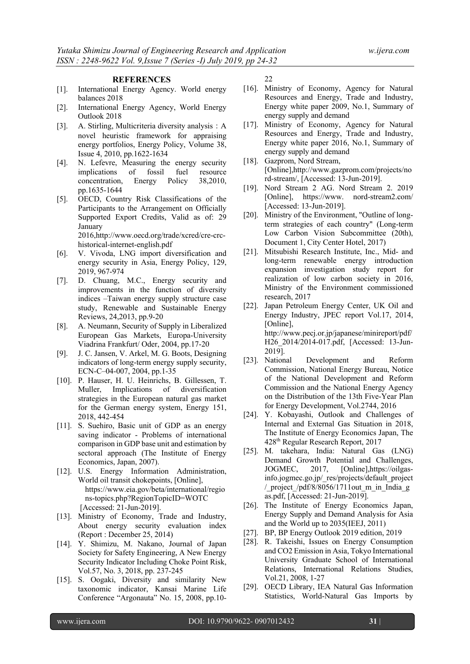#### **REFERENCES**

- [1]. International Energy Agency. World energy balances 2018
- [2]. International Energy Agency, World Energy Outlook 2018
- [3]. A. Stirling, Multicriteria diversity analysis:A novel heuristic framework for appraising energy portfolios, Energy Policy, Volume 38, Issue 4, 2010, pp.1622-1634
- [4]. N. Lefevre, Measuring the energy security implications of fossil fuel resource concentration, Energy Policy 38,2010, pp.1635-1644
- [5]. OECD, Country Risk Classifications of the Participants to the Arrangement on Officially Supported Export Credits, Valid as of: 29 January 2016,http://www.oecd.org/trade/xcred/cre-crc-

historical-internet-english.pdf

- [6]. V. Vivoda, LNG import diversification and energy security in Asia, Energy Policy, 129, 2019, 967-974
- [7]. D. Chuang, M.C., Energy security and improvements in the function of diversity indices –Taiwan energy supply structure case study, Renewable and Sustainable Energy Reviews, 24,2013, pp.9-20
- [8]. A. Neumann, Security of Supply in Liberalized European Gas Markets, Europa-University Viadrina Frankfurt/ Oder, 2004, pp.17-20
- [9]. J. C. Jansen, V. Arkel, M. G. Boots, Designing indicators of long-term energy supply security, ECN-C–04-007, 2004, pp.1-35
- [10]. P. Hauser, H. U. Heinrichs, B. Gillessen, T. Muller, Implications of diversification strategies in the European natural gas market for the German energy system, Energy 151, 2018, 442-454
- [11]. S. Suehiro, Basic unit of GDP as an energy saving indicator - Problems of international comparison in GDP base unit and estimation by sectoral approach (The Institute of Energy Economics, Japan, 2007).
- [12]. U.S. Energy Information Administration, World oil transit chokepoints, [Online], https://www.eia.gov/beta/international/regio ns-topics.php?RegionTopicID=WOTC [Accessed: 21-Jun-2019].
- [13]. Ministry of Economy, Trade and Industry, About energy security evaluation index (Report : December 25, 2014)
- [14]. Y. Shimizu, M. Nakano, Journal of Japan Society for Safety Engineering, A New Energy Security Indicator Including Choke Point Risk, Vol.57, No. 3, 2018, pp. 237-245
- [15]. S. Oogaki, Diversity and similarity New taxonomic indicator, Kansai Marine Life Conference "Argonauta" No. 15, 2008, pp.10-

22

- [16]. Ministry of Economy, Agency for Natural Resources and Energy, Trade and Industry, Energy white paper 2009, No.1, Summary of energy supply and demand
- [17]. Ministry of Economy, Agency for Natural Resources and Energy, Trade and Industry, Energy white paper 2016, No.1, Summary of energy supply and demand
- [18]. Gazprom, Nord Stream, [Online],http://www.gazprom.com/projects/no rd-stream/, [Accessed: 13-Jun-2019].
- [19]. Nord Stream 2 AG. Nord Stream 2. 2019 [Online], https://www. nord-stream2.com/ [Accessed: 13-Jun-2019].
- [20]. Ministry of the Environment, "Outline of longterm strategies of each country" (Long-term Low Carbon Vision Subcommittee (20th), Document 1, City Center Hotel, 2017)
- [21]. Mitsubishi Research Institute, Inc., Mid- and long-term renewable energy introduction expansion investigation study report for realization of low carbon society in 2016, Ministry of the Environment commissioned research, 2017
- [22]. Japan Petroleum Energy Center, UK Oil and Energy Industry, JPEC report Vol.17, 2014, [Online], http://www.pecj.or.jp/japanese/minireport/pdf/ H26 2014/2014-017.pdf, [Accessed: 13-Jun-2019].
- [23]. National Development and Reform Commission, National Energy Bureau, Notice of the National Development and Reform Commission and the National Energy Agency on the Distribution of the 13th Five-Year Plan for Energy Development, Vol.2744, 2016
- [24]. Y. Kobayashi, Outlook and Challenges of Internal and External Gas Situation in 2018, The Institute of Energy Economics Japan, The 428th Regular Research Report, 2017
- [25]. M. takehara, India: Natural Gas (LNG) Demand Growth Potential and Challenges, JOGMEC, 2017, [Online],https://oilgasinfo.jogmec.go.jp/\_res/projects/default\_project / project /pdf/8/8056/1711out m in India g as.pdf, [Accessed: 21-Jun-2019].
- [26]. The Institute of Energy Economics Japan, Energy Supply and Demand Analysis for Asia and the World up to 2035(IEEJ, 2011)
- [27]. BP, BP Energy Outlook 2019 edition, 2019
- [28]. R. Takeishi, Issues on Energy Consumption and CO2 Emission in Asia, Tokyo International University Graduate School of International Relations, International Relations Studies, Vol.21, 2008, 1-27
- [29]. OECD Library, IEA Natural Gas Information Statistics, World-Natural Gas Imports by